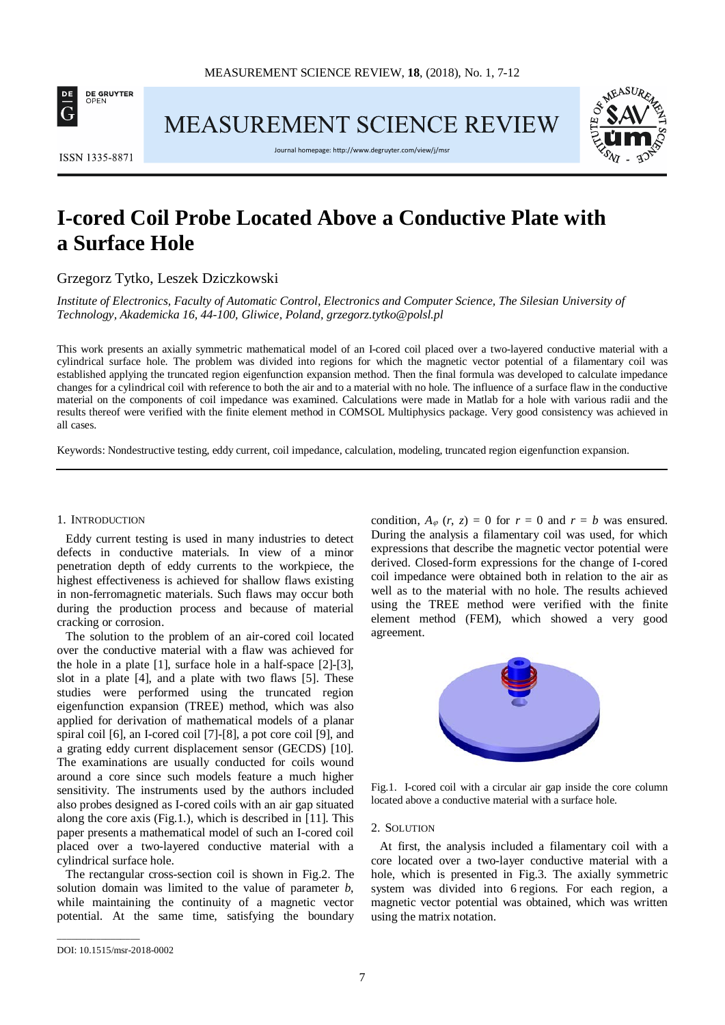

MEASUREMENT SCIENCE REVIEW



ISSN 1335-8871

Journal homepage[: http://www.degruyter.com/view/j/msr](http://www.degruyter.com/view/j/msr)

# **I-cored Coil Probe Located Above a Conductive Plate with a Surface Hole**

Grzegorz Tytko, Leszek Dziczkowski

*Institute of Electronics, Faculty of Automatic Control, Electronics and Computer Science, The Silesian University of Technology, Akademicka 16, 44-100, Gliwice, Poland, grzegorz.tytko@polsl.pl*

This work presents an axially symmetric mathematical model of an I-cored coil placed over a two-layered conductive material with a cylindrical surface hole. The problem was divided into regions for which the magnetic vector potential of a filamentary coil was established applying the truncated region eigenfunction expansion method. Then the final formula was developed to calculate impedance changes for a cylindrical coil with reference to both the air and to a material with no hole. The influence of a surface flaw in the conductive material on the components of coil impedance was examined. Calculations were made in Matlab for a hole with various radii and the results thereof were verified with the finite element method in COMSOL Multiphysics package. Very good consistency was achieved in all cases.

Keywords: Nondestructive testing, eddy current, coil impedance, calculation, modeling, truncated region eigenfunction expansion.

### 1. INTRODUCTION

Eddy current testing is used in many industries to detect defects in conductive materials. In view of a minor penetration depth of eddy currents to the workpiece, the highest effectiveness is achieved for shallow flaws existing in non-ferromagnetic materials. Such flaws may occur both during the production process and because of material cracking or corrosion.

The solution to the problem of an air-cored coil located over the conductive material with a flaw was achieved for the hole in a plate [1], surface hole in a half-space [2]-[3], slot in a plate [4], and a plate with two flaws [5]. These studies were performed using the truncated region eigenfunction expansion (TREE) method, which was also applied for derivation of mathematical models of a planar spiral coil [6], an I-cored coil [7]-[8], a pot core coil [9], and a grating eddy current displacement sensor (GECDS) [10]. The examinations are usually conducted for coils wound around a core since such models feature a much higher sensitivity. The instruments used by the authors included also probes designed as I-cored coils with an air gap situated along the core axis (Fig.1.), which is described in [11]. This paper presents a mathematical model of such an I-cored coil placed over a two-layered conductive material with a cylindrical surface hole.

The rectangular cross-section coil is shown in Fig.2. The solution domain was limited to the value of parameter *b*, while maintaining the continuity of a magnetic vector potential. At the same time, satisfying the boundary condition,  $A_{\varphi}$  (*r*, *z*) = 0 for  $r = 0$  and  $r = b$  was ensured. During the analysis a filamentary coil was used, for which expressions that describe the magnetic vector potential were derived. Closed-form expressions for the change of I-cored coil impedance were obtained both in relation to the air as well as to the material with no hole. The results achieved using the TREE method were verified with the finite element method (FEM), which showed a very good agreement.



Fig.1. I-cored coil with a circular air gap inside the core column located above a conductive material with a surface hole.

## 2. SOLUTION

At first, the analysis included a filamentary coil with a core located over a two-layer conductive material with a hole, which is presented in Fig.3. The axially symmetric system was divided into 6 regions. For each region, a magnetic vector potential was obtained, which was written using the matrix notation.

\_\_\_\_\_\_\_\_\_\_\_\_\_\_\_\_\_

DOI: 10.1515/msr-2018-0002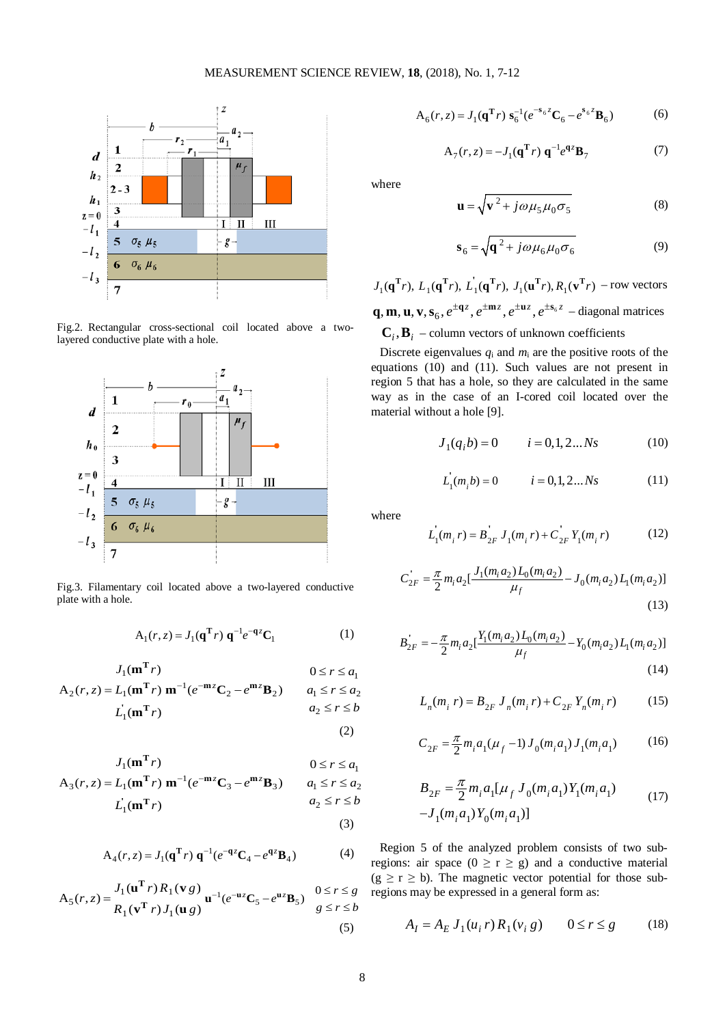

Fig.2. Rectangular cross-sectional coil located above a twolayered conductive plate with a hole.



Fig.3. Filamentary coil located above a two-layered conductive plate with a hole.

$$
A_1(r, z) = J_1(q^T r) q^{-1} e^{-qz} C_1
$$
 (1)

$$
J_1(\mathbf{m}^T r) \qquad \qquad 0 \le r \le a_1
$$
  
\n
$$
A_2(r, z) = L_1(\mathbf{m}^T r) \mathbf{m}^{-1} (e^{-\mathbf{m}z} \mathbf{C}_2 - e^{\mathbf{m}z} \mathbf{B}_2) \qquad a_1 \le r \le a_2
$$
  
\n
$$
L_1(\mathbf{m}^T r) \qquad \qquad a_2 \le r \le b
$$

**T**

$$
J_1(\mathbf{m}^{\mathrm{T}} r) \qquad \qquad 0 \le r \le a_1
$$
  
\n
$$
A_3(r, z) = L_1(\mathbf{m}^{\mathrm{T}} r) \mathbf{m}^{-1} (e^{-\mathbf{m} z} \mathbf{C}_3 - e^{\mathbf{m} z} \mathbf{B}_3) \qquad a_1 \le r \le a_2
$$
  
\n
$$
L_1(\mathbf{m}^{\mathrm{T}} r) \qquad a_2 \le r \le b
$$

(3)

(2)

$$
A_4(r, z) = J_1(q^{\mathbf{T}}r) q^{-1} (e^{-qz} C_4 - e^{qz} B_4)
$$
 (4)

$$
\mathbf{A}_5(r,z) = \frac{J_1(\mathbf{u}^{\mathrm{T}}r)R_1(\mathbf{v}g)}{R_1(\mathbf{v}^{\mathrm{T}}r)J_1(\mathbf{u}g)}\mathbf{u}^{-1}(e^{-\mathbf{u}z}\mathbf{C}_5 - e^{\mathbf{u}z}\mathbf{B}_5) \quad \begin{array}{l} 0 \le r \le g\\ g \le r \le b \end{array}
$$
\n(5)

$$
A_6(r, z) = J_1(q^{\mathbf{T}}r) s_6^{-1} (e^{-s_6 z} \mathbf{C}_6 - e^{s_6 z} \mathbf{B}_6)
$$
 (6)

$$
\mathbf{A}_7(r,z) = -J_1(\mathbf{q}^{\mathrm{T}}r)\ \mathbf{q}^{-1}e^{\mathbf{q}z}\mathbf{B}_7\tag{7}
$$

where

$$
\mathbf{u} = \sqrt{\mathbf{v}^2 + j\omega\mu_5\mu_0\sigma_5}
$$
 (8)

$$
\mathbf{s}_6 = \sqrt{\mathbf{q}^2 + j\omega\mu_6\mu_0\sigma_6} \tag{9}
$$

 $J_1(\mathbf{q}^{\mathrm{T}}r)$ ,  $L_1(\mathbf{q}^{\mathrm{T}}r)$ ,  $L_1(\mathbf{q}^{\mathrm{T}}r)$ ,  $J_1(\mathbf{u}^{\mathrm{T}}r)$ ,  $R_1(\mathbf{v}^{\mathrm{T}}r)$  – row vectors **q**, **m**, **u**, **v**, **s**<sub>6</sub>,  $e^{\pm qz}$ ,  $e^{\pm mz}$ ,  $e^{\pm uz}$ ,  $e^{\pm s_6z}$  – diagonal matrices  $\mathbf{C}_i$ ,  $\mathbf{B}_i$  – column vectors of unknown coefficients

Discrete eigenvalues  $q_i$  and  $m_i$  are the positive roots of the equations (10) and (11). Such values are not present in region 5 that has a hole, so they are calculated in the same way as in the case of an I-cored coil located over the material without a hole [9].

$$
J_1(q_i b) = 0 \t i = 0, 1, 2...Ns \t(10)
$$

$$
L_1(m_i b) = 0 \t i = 0, 1, 2...Ns \t(11)
$$

where

$$
L_1(m_i r) = B_{2F}^{'} J_1(m_i r) + C_{2F}^{'} Y_1(m_i r)
$$
 (12)

$$
C_{2F}^{'} = \frac{\pi}{2} m_i a_2 \left[\frac{J_1(m_i a_2) L_0(m_i a_2)}{\mu_f} - J_0(m_i a_2) L_1(m_i a_2)\right]
$$
\n(13)

$$
B'_{2F} = -\frac{\pi}{2} m_i a_2 \left[ \frac{Y_1(m_i a_2) L_0(m_i a_2)}{\mu_f} - Y_0(m_i a_2) L_1(m_i a_2) \right]
$$
\n(14)

$$
L_n(m_i r) = B_{2F} J_n(m_i r) + C_{2F} Y_n(m_i r)
$$
 (15)

$$
C_{2F} = \frac{\pi}{2} m_i a_1 (\mu_f - 1) J_0(m_i a_1) J_1(m_i a_1)
$$
 (16)

$$
B_{2F} = \frac{\pi}{2} m_i a_1 [\mu_f J_0(m_i a_1) Y_1(m_i a_1)
$$
  
- $J_1(m_i a_1) Y_0(m_i a_1)]$  (17)

Region 5 of the analyzed problem consists of two subregions: air space  $(0 \ge r \ge g)$  and a conductive material  $(g \ge r \ge b)$ . The magnetic vector potential for those subregions may be expressed in a general form as:

$$
A_{I} = A_{E} J_{1}(u_{i} r) R_{1}(v_{i} g) \qquad 0 \le r \le g \qquad (18)
$$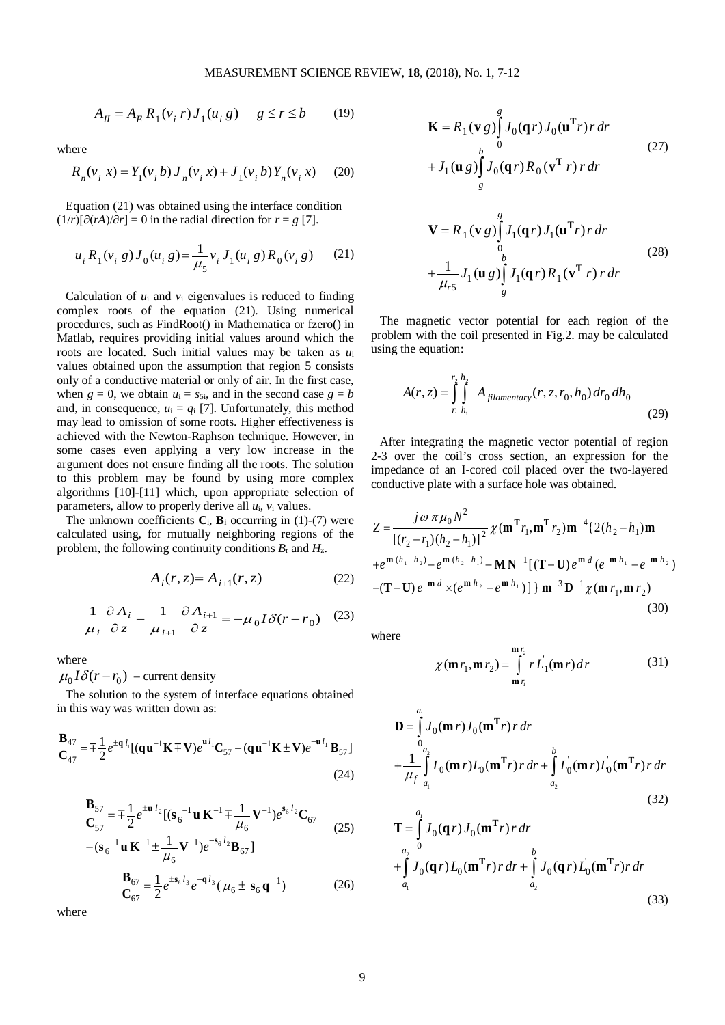$$
A_{II} = A_E R_1(v_i r) J_1(u_i g) \quad g \le r \le b \tag{19}
$$

where

$$
R_n(v_i, x) = Y_1(v_i, b) J_n(v_i, x) + J_1(v_i, b) Y_n(v_i, x)
$$
 (20)

Equation (21) was obtained using the interface condition  $(1/r)[\partial (rA)/\partial r] = 0$  in the radial direction for  $r = g$  [7].

$$
u_i R_1(v_i g) J_0(u_i g) = \frac{1}{\mu_5} v_i J_1(u_i g) R_0(v_i g)
$$
 (21)

Calculation of  $u_i$  and  $v_i$  eigenvalues is reduced to finding complex roots of the equation (21). Using numerical procedures, such as FindRoot() in Mathematica or fzero() in Matlab, requires providing initial values around which the roots are located. Such initial values may be taken as *u*<sup>i</sup> values obtained upon the assumption that region 5 consists only of a conductive material or only of air. In the first case, when  $g = 0$ , we obtain  $u_i = s_{5i}$ , and in the second case  $g = b$ and, in consequence,  $u_i = q_i$  [7]. Unfortunately, this method may lead to omission of some roots. Higher effectiveness is achieved with the Newton-Raphson technique. However, in some cases even applying a very low increase in the argument does not ensure finding all the roots. The solution to this problem may be found by using more complex algorithms [10]-[11] which, upon appropriate selection of parameters, allow to properly derive all *u*i, *v*<sup>i</sup> values.

The unknown coefficients  $C_i$ ,  $B_i$  occurring in (1)-(7) were calculated using, for mutually neighboring regions of the problem, the following continuity conditions  $B_r$  and  $H_z$ .

$$
A_i(r, z) = A_{i+1}(r, z)
$$
 (22)

$$
\frac{1}{\mu_i} \frac{\partial A_i}{\partial z} - \frac{1}{\mu_{i+1}} \frac{\partial A_{i+1}}{\partial z} = -\mu_0 I \delta(r - r_0) \quad (23)
$$

where

 $\mu_0 I \delta(r - r_0)$  – current density

The solution to the system of interface equations obtained in this way was written down as:

$$
\mathbf{B}_{47} = \mp \frac{1}{2} e^{\pm \mathbf{q} \, l_1} [(\mathbf{q} \mathbf{u}^{-1} \mathbf{K} \mp \mathbf{V}) e^{\mathbf{u} \, l_1} \mathbf{C}_{57} - (\mathbf{q} \mathbf{u}^{-1} \mathbf{K} \pm \mathbf{V}) e^{-\mathbf{u} \, l_1} \mathbf{B}_{57}]
$$
\n(24)

$$
\mathbf{B}_{57} = \mp \frac{1}{2} e^{\pm \mathbf{u} l_2} [(\mathbf{s}_6^{-1} \mathbf{u} \mathbf{K}^{-1} \mp \frac{1}{\mu_6} \mathbf{V}^{-1}) e^{\mathbf{s}_6 l_2} \mathbf{C}_{67}
$$
  
\n
$$
(\mathbf{c}_6 \mathbf{s}^{-1} \mathbf{v} \mathbf{K}^{-1} \mp \frac{1}{2} \mathbf{V}^{-1}) e^{\mathbf{s}_6 l_2} \mathbf{P}_{61}
$$
 (25)

$$
-(\mathbf{s}_6^{-1}\mathbf{u}\,\mathbf{K}^{-1}\pm\frac{1}{\mu_6}\mathbf{V}^{-1})e^{-\mathbf{s}_6 l_2}\mathbf{B}_{67}]
$$

$$
\mathbf{B}_{67} = \frac{1}{2}e^{\pm\mathbf{s}_6 l_3}e^{-\mathbf{q} l_3}(\mu_6 \pm \mathbf{s}_6\,\mathbf{q}^{-1})
$$
(26)

where

$$
\mathbf{K} = R_1(\mathbf{v} g) \int_0^g J_0(\mathbf{q} r) J_0(\mathbf{u}^{\mathrm{T}} r) r dr
$$
  
+  $J_1(\mathbf{u} g) \int_s^b J_0(\mathbf{q} r) R_0(\mathbf{v}^{\mathrm{T}} r) r dr$  (27)  

$$
\mathbf{V} = R_1(\mathbf{v} g) \int_0^g J_1(\mathbf{q} r) J_1(\mathbf{u}^{\mathrm{T}} r) r dr
$$
  
+  $\frac{1}{\mu_{r5}} J_1(\mathbf{u} g) \int_s^b J_1(\mathbf{q} r) R_1(\mathbf{v}^{\mathrm{T}} r) r dr$  (28)

The magnetic vector potential for each region of the problem with the coil presented in Fig.2. may be calculated using the equation:

$$
A(r,z) = \int_{r_1}^{r_2} \int_{h_1}^{h_2} A_{filamentary}(r, z, r_0, h_0) dr_0 dh_0
$$
\n(29)

After integrating the magnetic vector potential of region 2-3 over the coil's cross section, an expression for the impedance of an I-cored coil placed over the two-layered conductive plate with a surface hole was obtained.

$$
Z = \frac{j\omega \pi \mu_0 N^2}{\left[ (r_2 - r_1)(h_2 - h_1) \right]^2} \chi(\mathbf{m}^T r_1, \mathbf{m}^T r_2) \mathbf{m}^{-4} \{ 2(h_2 - h_1) \mathbf{m} + e^{\mathbf{m} (h_1 - h_2)} - e^{\mathbf{m} (h_2 - h_1)} - \mathbf{M} \mathbf{N}^{-1} \left[ (\mathbf{T} + \mathbf{U}) e^{\mathbf{m} d} (e^{-\mathbf{m} h_1} - e^{-\mathbf{m} h_2}) \right] -(\mathbf{T} - \mathbf{U}) e^{-\mathbf{m} d} \times (e^{\mathbf{m} h_2} - e^{\mathbf{m} h_1}) \} \mathbf{m}^{-3} \mathbf{D}^{-1} \chi(\mathbf{m} r_1, \mathbf{m} r_2)
$$
(30)

where

$$
\chi(\mathbf{m}r_1, \mathbf{m}r_2) = \int_{\mathbf{m}r_1}^{\mathbf{m}r_2} r \dot{L_1}(\mathbf{m}r) dr \qquad (31)
$$

$$
\mathbf{D} = \int_{0}^{a_1} J_0(\mathbf{m} r) J_0(\mathbf{m}^T r) r dr
$$
  
+ 
$$
\frac{1}{\mu_f} \int_{a_1}^{a_2} L_0(\mathbf{m} r) L_0(\mathbf{m}^T r) r dr + \int_{a_2}^{b} L_0(\mathbf{m} r) L_0(\mathbf{m}^T r) r dr
$$
(32)

$$
\mathbf{T} = \int_{a_2}^{a_1} J_0(\mathbf{q} r) J_0(\mathbf{m}^{\mathbf{T}} r) r \, dr + \int_{a_2}^{a_2} J_0(\mathbf{q} r) L_0(\mathbf{m}^{\mathbf{T}} r) r \, dr + \int_{a_2}^{b} J_0(\mathbf{q} r) L_0(\mathbf{m}^{\mathbf{T}} r) r \, dr
$$
\n(33)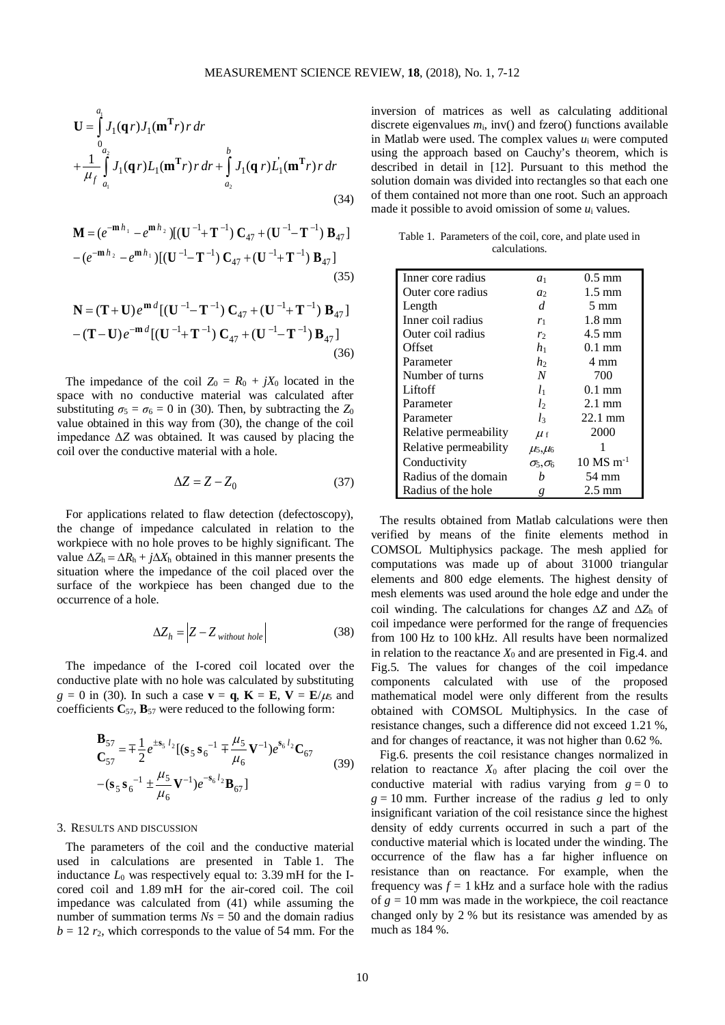$$
\mathbf{U} = \int_{0}^{a_1} J_1(\mathbf{q} r) J_1(\mathbf{m}^T r) r dr + \int_{a_2}^{b} J_1(\mathbf{q} r) L_1(\mathbf{m}^T r) r dr + \int_{a_2}^{b} J_1(\mathbf{q} r) L_1'(\mathbf{m}^T r) r dr
$$
\n(34)

$$
\mathbf{M} = (e^{-\mathbf{m} \, h_1} - e^{\mathbf{m} \, h_2}) [(\mathbf{U}^{-1} + \mathbf{T}^{-1}) \, \mathbf{C}_{47} + (\mathbf{U}^{-1} - \mathbf{T}^{-1}) \, \mathbf{B}_{47}]
$$

$$
- (e^{-\mathbf{m} \, h_2} - e^{\mathbf{m} \, h_1}) [(\mathbf{U}^{-1} - \mathbf{T}^{-1}) \, \mathbf{C}_{47} + (\mathbf{U}^{-1} + \mathbf{T}^{-1}) \, \mathbf{B}_{47}]
$$
(35)

$$
\mathbf{N} = (\mathbf{T} + \mathbf{U})e^{\mathbf{m}d}[(\mathbf{U}^{-1} - \mathbf{T}^{-1})\mathbf{C}_{47} + (\mathbf{U}^{-1} + \mathbf{T}^{-1})\mathbf{B}_{47}]
$$

$$
-(\mathbf{T} - \mathbf{U})e^{-\mathbf{m}d}[(\mathbf{U}^{-1} + \mathbf{T}^{-1})\mathbf{C}_{47} + (\mathbf{U}^{-1} - \mathbf{T}^{-1})\mathbf{B}_{47}]
$$
(36)

The impedance of the coil  $Z_0 = R_0 + iX_0$  located in the space with no conductive material was calculated after substituting  $\sigma_5 = \sigma_6 = 0$  in (30). Then, by subtracting the  $Z_0$ value obtained in this way from (30), the change of the coil impedance Δ*Z* was obtained. It was caused by placing the coil over the conductive material with a hole.

$$
\Delta Z = Z - Z_0 \tag{37}
$$

For applications related to flaw detection (defectoscopy), the change of impedance calculated in relation to the workpiece with no hole proves to be highly significant. The value  $\Delta Z_h = \Delta R_h + j\Delta X_h$  obtained in this manner presents the situation where the impedance of the coil placed over the surface of the workpiece has been changed due to the occurrence of a hole.

$$
\Delta Z_h = \left| Z - Z_{without\ hole} \right| \tag{38}
$$

The impedance of the I-cored coil located over the conductive plate with no hole was calculated by substituting  $g = 0$  in (30). In such a case  $\mathbf{v} = \mathbf{q}$ ,  $\mathbf{K} = \mathbf{E}$ ,  $\mathbf{V} = \mathbf{E}/\mu_5$  and coefficients  $C_{57}$ ,  $B_{57}$  were reduced to the following form:

$$
\mathbf{B}_{57} = \mp \frac{1}{2} e^{\pm s_5 l_2} [(\mathbf{s}_5 \mathbf{s}_6^{-1} \mp \frac{\mu_5}{\mu_6} \mathbf{V}^{-1}) e^{\mathbf{s}_6 l_2} \mathbf{C}_{67} - (\mathbf{s}_5 \mathbf{s}_6^{-1} \pm \frac{\mu_5}{\mu_6} \mathbf{V}^{-1}) e^{-\mathbf{s}_6 l_2} \mathbf{B}_{67}]
$$
(39)

#### 3. RESULTS AND DISCUSSION

The parameters of the coil and the conductive material used in calculations are presented in Table 1. The inductance  $L_0$  was respectively equal to: 3.39 mH for the Icored coil and 1.89 mH for the air-cored coil. The coil impedance was calculated from (41) while assuming the number of summation terms  $Ns = 50$  and the domain radius  $b = 12 r<sub>2</sub>$ , which corresponds to the value of 54 mm. For the inversion of matrices as well as calculating additional discrete eigenvalues  $m_i$ , inv() and fzero() functions available in Matlab were used. The complex values *u*<sup>i</sup> were computed using the approach based on Cauchy's theorem, which is described in detail in [12]. Pursuant to this method the solution domain was divided into rectangles so that each one of them contained not more than one root. Such an approach made it possible to avoid omission of some *u*<sup>i</sup> values.

| Table 1. Parameters of the coil, core, and plate used in |               |  |  |  |
|----------------------------------------------------------|---------------|--|--|--|
|                                                          | calculations. |  |  |  |

| Inner core radius     | a <sub>1</sub>                          | $0.5 \text{ mm}$        |  |
|-----------------------|-----------------------------------------|-------------------------|--|
| Outer core radius     | a <sub>2</sub>                          | $1.5 \text{ mm}$        |  |
| Length                | d.<br>$5 \text{ mm}$                    |                         |  |
| Inner coil radius     | $r_1$                                   | $1.8 \text{ mm}$        |  |
| Outer coil radius     | r <sub>2</sub>                          | $4.5 \text{ mm}$        |  |
| Offset                | h <sub>1</sub>                          | $0.1 \text{ mm}$        |  |
| Parameter             | h <sub>2</sub>                          | 4 mm                    |  |
| Number of turns       | N                                       | 700                     |  |
| Liftoff               | $l_{1}$                                 | $0.1 \text{ mm}$        |  |
| Parameter             | l <sub>2</sub>                          | $2.1 \text{ mm}$        |  |
| Parameter             | $l_3$                                   | 22.1 mm                 |  |
| Relative permeability | $\mu_f$                                 | 2000                    |  |
| Relative permeability | $\mu$ <sub>5</sub> , $\mu$ <sub>6</sub> |                         |  |
| Conductivity          | $\sigma_5, \sigma_6$                    | $10$ MS m <sup>-1</sup> |  |
| Radius of the domain  | h                                       | 54 mm                   |  |
| Radius of the hole    | g                                       | $2.5 \text{ mm}$        |  |

The results obtained from Matlab calculations were then verified by means of the finite elements method in COMSOL Multiphysics package. The mesh applied for computations was made up of about 31000 triangular elements and 800 edge elements. The highest density of mesh elements was used around the hole edge and under the coil winding. The calculations for changes ∆*Z* and ∆*Z*<sup>h</sup> of coil impedance were performed for the range of frequencies from 100 Hz to 100 kHz. All results have been normalized in relation to the reactance  $X_0$  and are presented in Fig.4. and Fig.5. The values for changes of the coil impedance components calculated with use of the proposed mathematical model were only different from the results obtained with COMSOL Multiphysics. In the case of resistance changes, such a difference did not exceed 1.21 %, and for changes of reactance, it was not higher than 0.62 %.

Fig.6. presents the coil resistance changes normalized in relation to reactance  $X_0$  after placing the coil over the conductive material with radius varying from  $g = 0$  to  $g = 10$  mm. Further increase of the radius *g* led to only insignificant variation of the coil resistance since the highest density of eddy currents occurred in such a part of the conductive material which is located under the winding. The occurrence of the flaw has a far higher influence on resistance than on reactance. For example, when the frequency was  $f = 1$  kHz and a surface hole with the radius of  $g = 10$  mm was made in the workpiece, the coil reactance changed only by 2 % but its resistance was amended by as much as 184 %.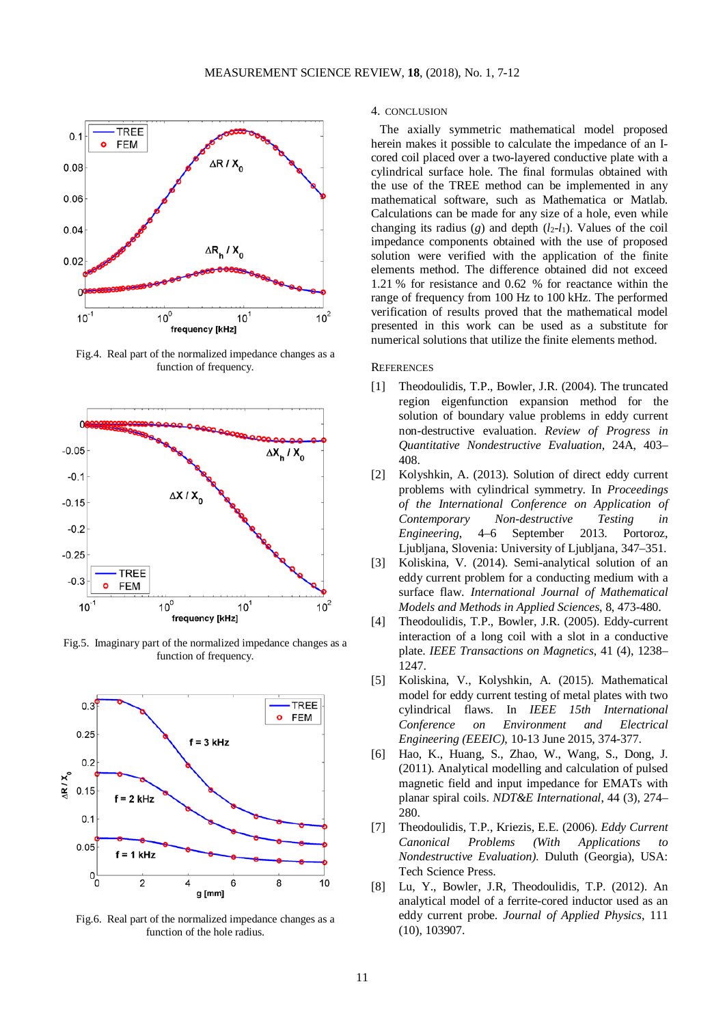

Fig.4. Real part of the normalized impedance changes as a function of frequency.



Fig.5. Imaginary part of the normalized impedance changes as a function of frequency.



Fig.6. Real part of the normalized impedance changes as a function of the hole radius.

## 4. CONCLUSION

The axially symmetric mathematical model proposed herein makes it possible to calculate the impedance of an Icored coil placed over a two-layered conductive plate with a cylindrical surface hole. The final formulas obtained with the use of the TREE method can be implemented in any mathematical software, such as Mathematica or Matlab. Calculations can be made for any size of a hole, even while changing its radius (*g*) and depth  $(l_2-l_1)$ . Values of the coil impedance components obtained with the use of proposed solution were verified with the application of the finite elements method. The difference obtained did not exceed 1.21 % for resistance and 0.62 % for reactance within the range of frequency from 100 Hz to 100 kHz. The performed verification of results proved that the mathematical model presented in this work can be used as a substitute for numerical solutions that utilize the finite elements method.

## **REFERENCES**

- [1] Theodoulidis, T.P., Bowler, J.R. (2004). The truncated region eigenfunction expansion method for the solution of boundary value problems in eddy current non-destructive evaluation. *Review of Progress in Quantitative Nondestructive Evaluation*, 24A, 403– 408.
- [2] Kolyshkin, A. (2013). Solution of direct eddy current problems with cylindrical symmetry. In *Proceedings of the International Conference on Application of Contemporary Non-destructive Testing in Engineering*, 4–6 September 2013. Portoroz, Ljubljana, Slovenia: University of Ljubljana, 347–351.
- [3] Koliskina, V. (2014). Semi-analytical solution of an eddy current problem for a conducting medium with a surface flaw. *International Journal of Mathematical Models and Methods in Applied Sciences*, 8, 473-480.
- [4] Theodoulidis, T.P., Bowler, J.R. (2005). Eddy-current interaction of a long coil with a slot in a conductive plate. *IEEE Transactions on Magnetics*, 41 (4), 1238– 1247.
- [5] Koliskina, V., Kolyshkin, A. (2015). Mathematical model for eddy current testing of metal plates with two cylindrical flaws. In *IEEE 15th International Conference on Environment and Electrical Engineering (EEEIC)*, 10-13 June 2015, 374-377.
- [6] Hao, K., Huang, S., Zhao, W., Wang, S., Dong, J. (2011). Analytical modelling and calculation of pulsed magnetic field and input impedance for EMATs with planar spiral coils. *NDT&E International*, 44 (3), 274– 280.
- [7] Theodoulidis, T.P., Kriezis, E.E. (2006). *Eddy Current Canonical Problems (With Applications to Nondestructive Evaluation)*. Duluth (Georgia), USA: Tech Science Press.
- [8] Lu, Y., Bowler, J.R, Theodoulidis, T.P. (2012). An analytical model of a ferrite-cored inductor used as an eddy current probe. *Journal of Applied Physics*, 111 (10), 103907.